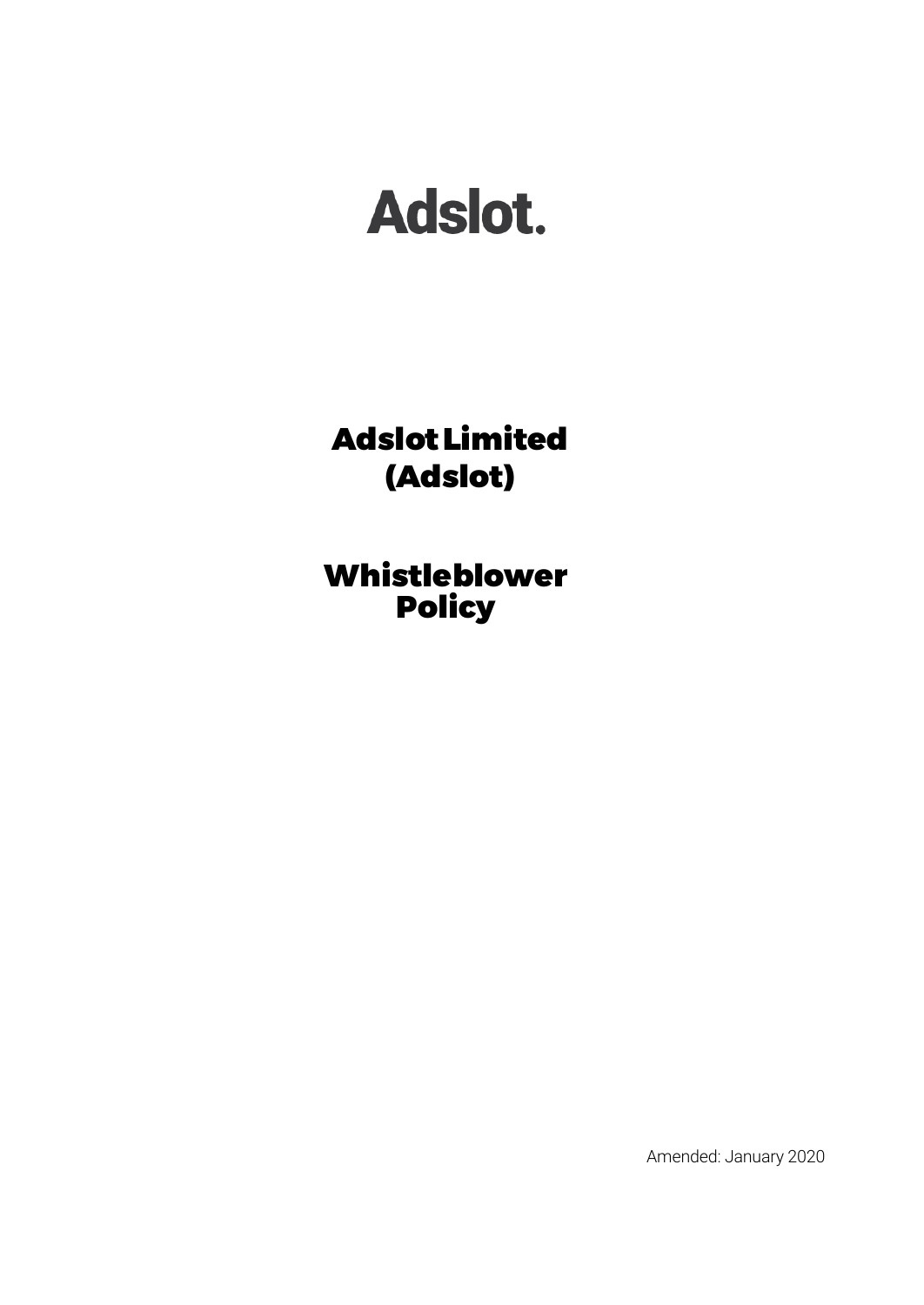# Adslot.

AdslotLimited (Adslot)

Whistleblower Policy

Amended: January 2020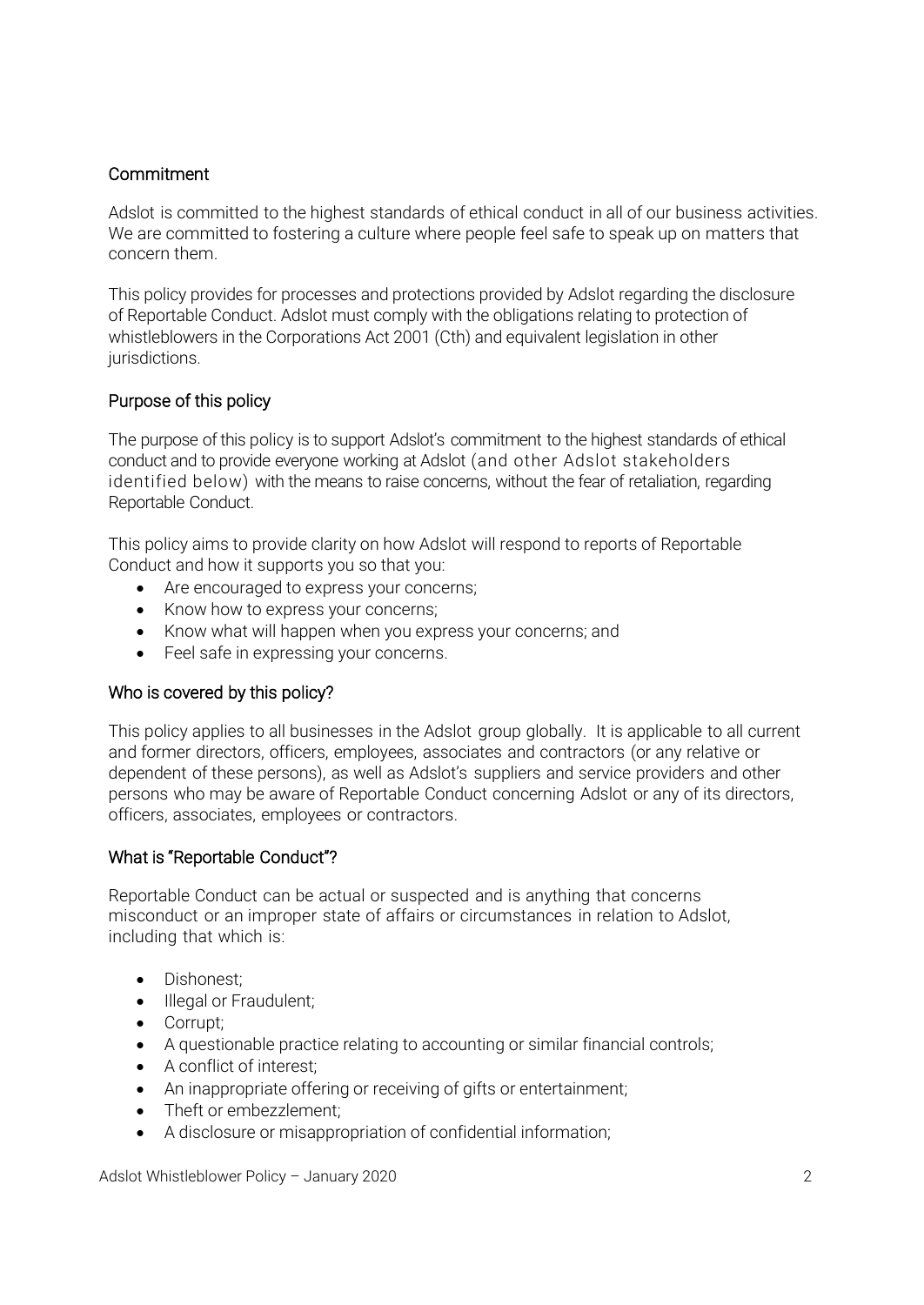# **Commitment**

Adslot is committed to the highest standards of ethical conduct in all of our business activities. We are committed to fostering a culture where people feel safe to speak up on matters that concern them.

This policy provides for processes and protections provided by Adslot regarding the disclosure of Reportable Conduct. Adslot must comply with the obligations relating to protection of whistleblowers in the Corporations Act 2001 (Cth) and equivalent legislation in other jurisdictions.

# Purpose of this policy

The purpose of this policy is to support Adslot's commitment to the highest standards of ethical conduct and to provide everyone working at Adslot (and other Adslot stakeholders identified below) with the means to raise concerns, without the fear of retaliation, regarding Reportable Conduct.

This policy aims to provide clarity on how Adslot will respond to reports of Reportable Conduct and how it supports you so that you:

- Are encouraged to express your concerns;
- Know how to express your concerns;
- Know what will happen when you express your concerns; and
- Feel safe in expressing your concerns.

# Who is covered by this policy?

This policy applies to all businesses in the Adslot group globally. It is applicable to all current and former directors, officers, employees, associates and contractors (or any relative or dependent of these persons), as well as Adslot's suppliers and service providers and other persons who may be aware of Reportable Conduct concerning Adslot or any of its directors, officers, associates, employees or contractors.

# What is "Reportable Conduct"?

Reportable Conduct can be actual or suspected and is anything that concerns misconduct or an improper state of affairs or circumstances in relation to Adslot, including that which is:

- Dishonest;
- Illegal or Fraudulent;
- Corrupt;
- A questionable practice relating to accounting or similar financial controls;
- A conflict of interest;
- An inappropriate offering or receiving of gifts or entertainment;
- Theft or embezzlement;
- A disclosure or misappropriation of confidential information;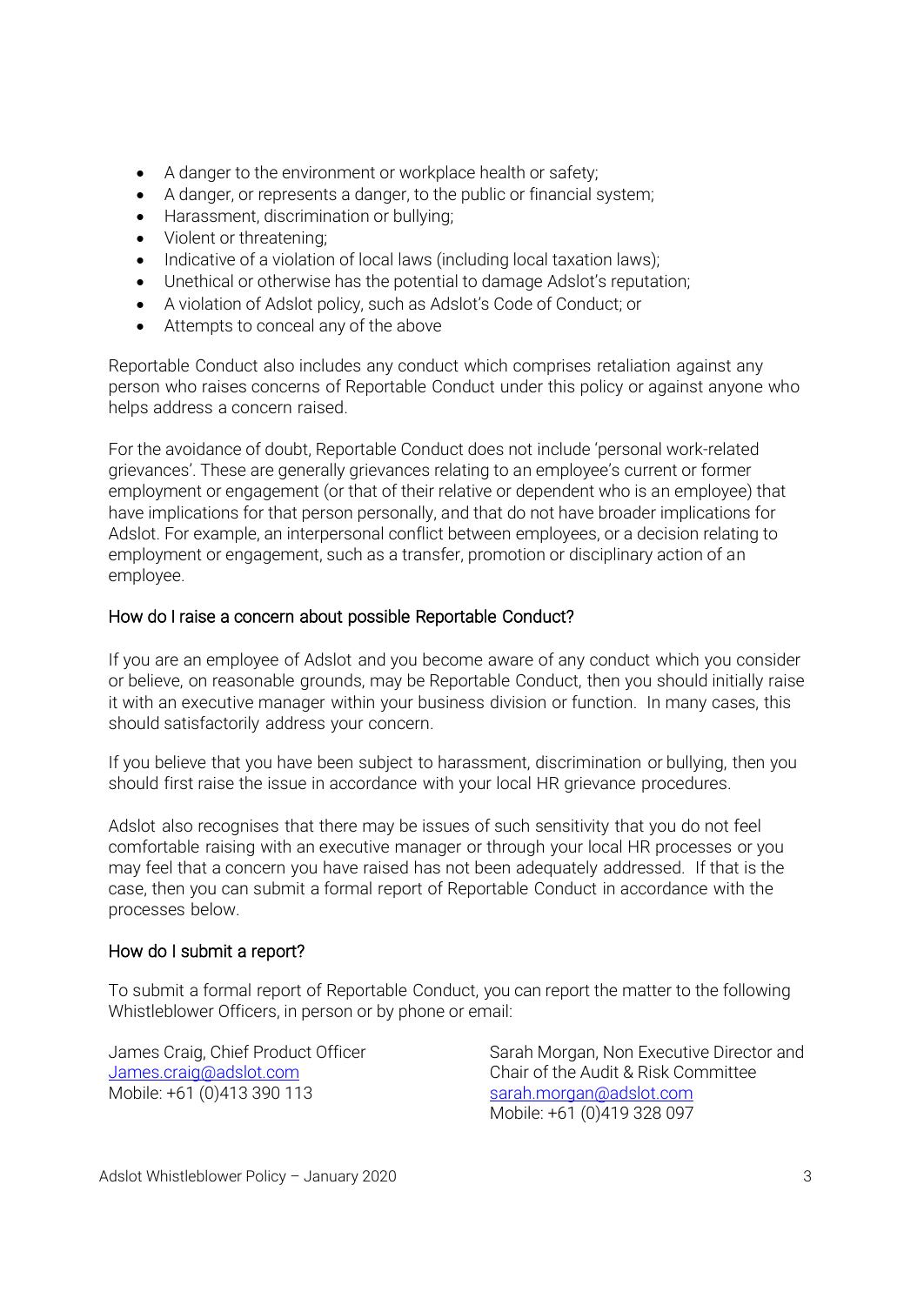- A danger to the environment or workplace health or safety;
- A danger, or represents a danger, to the public or financial system;
- Harassment, discrimination or bullying;
- Violent or threatening;
- Indicative of a violation of local laws (including local taxation laws);
- Unethical or otherwise has the potential to damage Adslot's reputation;
- A violation of Adslot policy, such as Adslot's Code of Conduct; or
- Attempts to conceal any of the above

Reportable Conduct also includes any conduct which comprises retaliation against any person who raises concerns of Reportable Conduct under this policy or against anyone who helps address a concern raised.

For the avoidance of doubt, Reportable Conduct does not include 'personal work-related grievances'. These are generally grievances relating to an employee's current or former employment or engagement (or that of their relative or dependent who is an employee) that have implications for that person personally, and that do not have broader implications for Adslot. For example, an interpersonal conflict between employees, or a decision relating to employment or engagement, such as a transfer, promotion or disciplinary action of an employee.

## How do I raise a concern about possible Reportable Conduct?

If you are an employee of Adslot and you become aware of any conduct which you consider or believe, on reasonable grounds, may be Reportable Conduct, then you should initially raise it with an executive manager within your business division or function. In many cases, this should satisfactorily address your concern.

If you believe that you have been subject to harassment, discrimination or bullying, then you should first raise the issue in accordance with your local HR grievance procedures.

Adslot also recognises that there may be issues of such sensitivity that you do not feel comfortable raising with an executive manager or through your local HR processes or you may feel that a concern you have raised has not been adequately addressed. If that is the case, then you can submit a formal report of Reportable Conduct in accordance with the processes below.

#### How do I submit a report?

To submit a formal report of Reportable Conduct, you can report the matter to the following Whistleblower Officers, in person or by phone or email:

Mobile: +61 (0)413 390 113 [sarah.morgan@adslot.com](mailto:sarah.morgan@adslot.com)

James Craig, Chief Product Officer Sarah Morgan, Non Executive Director and [James.craig@adslot.com](mailto:James.craig@adslot.com) Chair of the Audit & Risk Committee Mobile: +61 (0)419 328 097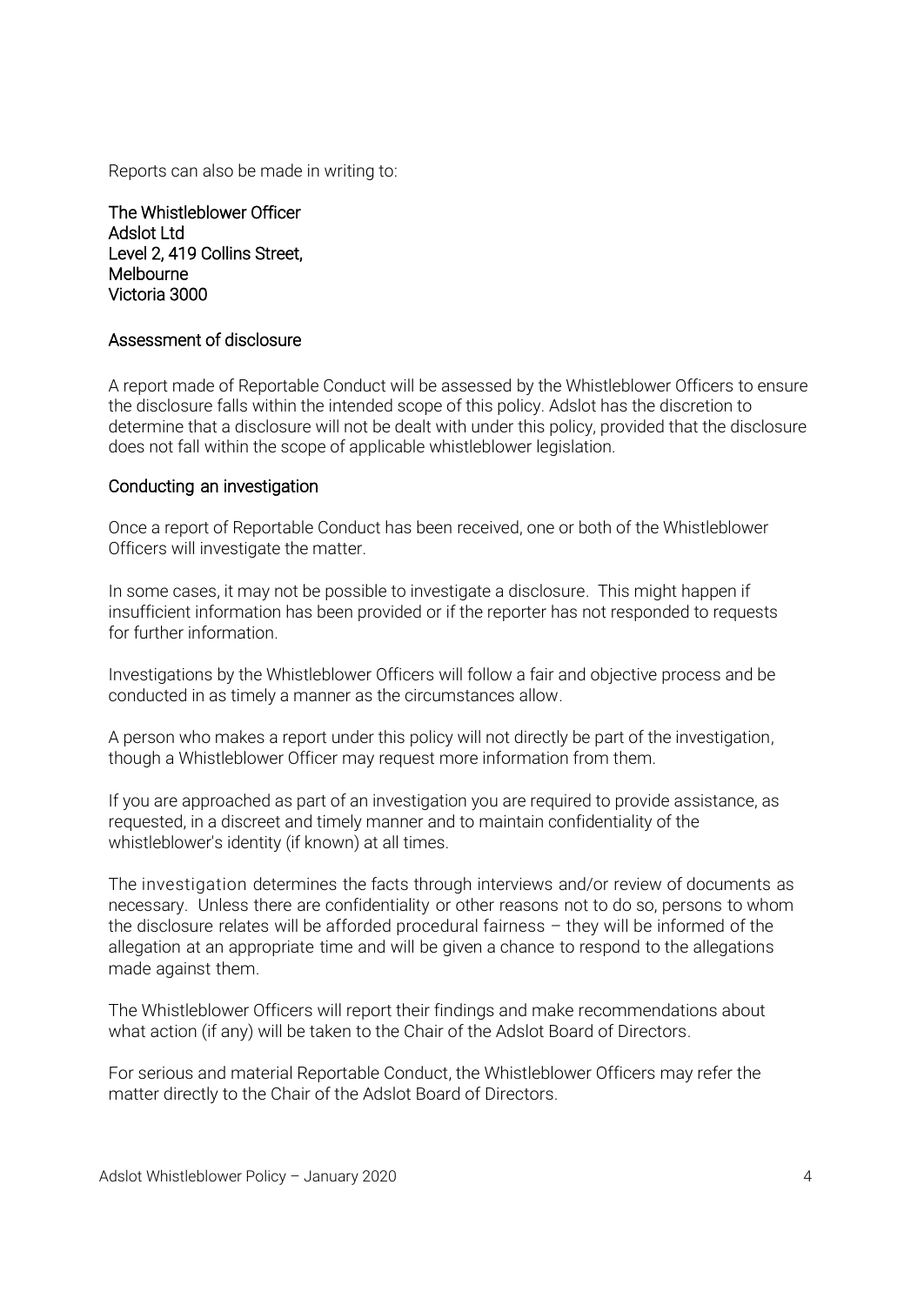Reports can also be made in writing to:

The Whistleblower Officer Adslot Ltd Level 2, 419 Collins Street, **Melbourne** Victoria 3000

#### Assessment of disclosure

A report made of Reportable Conduct will be assessed by the Whistleblower Officers to ensure the disclosure falls within the intended scope of this policy. Adslot has the discretion to determine that a disclosure will not be dealt with under this policy, provided that the disclosure does not fall within the scope of applicable whistleblower legislation.

#### Conducting an investigation

Once a report of Reportable Conduct has been received, one or both of the Whistleblower Officers will investigate the matter.

In some cases, it may not be possible to investigate a disclosure. This might happen if insufficient information has been provided or if the reporter has not responded to requests for further information.

Investigations by the Whistleblower Officers will follow a fair and objective process and be conducted in as timely a manner as the circumstances allow.

A person who makes a report under this policy will not directly be part of the investigation, though a Whistleblower Officer may request more information from them.

If you are approached as part of an investigation you are required to provide assistance, as requested, in a discreet and timely manner and to maintain confidentiality of the whistleblower's identity (if known) at all times.

The investigation determines the facts through interviews and/or review of documents as necessary. Unless there are confidentiality or other reasons not to do so, persons to whom the disclosure relates will be afforded procedural fairness – they will be informed of the allegation at an appropriate time and will be given a chance to respond to the allegations made against them.

The Whistleblower Officers will report their findings and make recommendations about what action (if any) will be taken to the Chair of the Adslot Board of Directors.

For serious and material Reportable Conduct, the Whistleblower Officers may refer the matter directly to the Chair of the Adslot Board of Directors.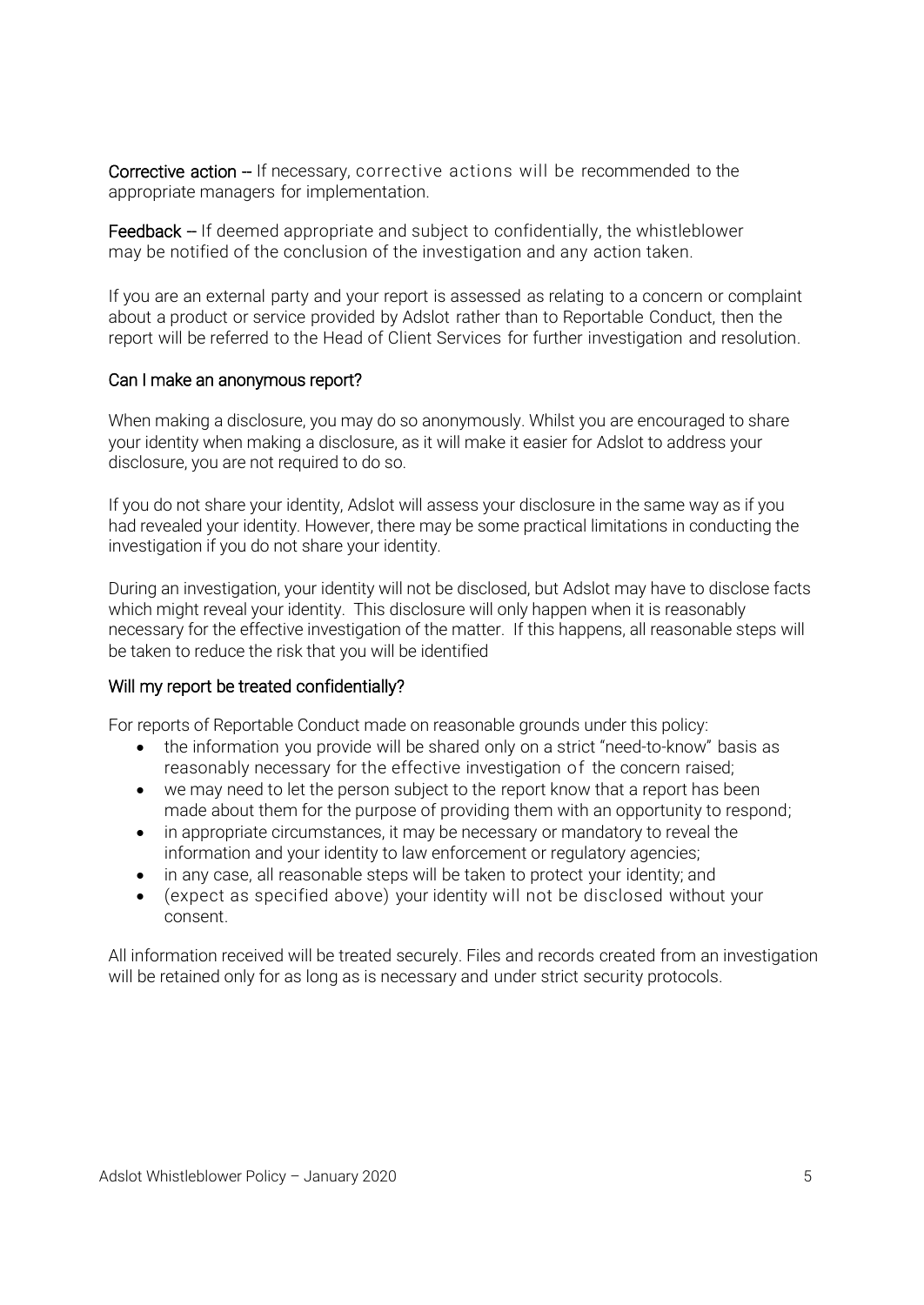Corrective action – If necessary, corrective actions will be recommended to the appropriate managers for implementation.

Feedback -- If deemed appropriate and subject to confidentially, the whistleblower may be notified of the conclusion of the investigation and any action taken.

If you are an external party and your report is assessed as relating to a concern or complaint about a product or service provided by Adslot rather than to Reportable Conduct, then the report will be referred to the Head of Client Services for further investigation and resolution.

#### Can I make an anonymous report?

When making a disclosure, you may do so anonymously. Whilst you are encouraged to share your identity when making a disclosure, as it will make it easier for Adslot to address your disclosure, you are not required to do so.

If you do not share your identity, Adslot will assess your disclosure in the same way as if you had revealed your identity. However, there may be some practical limitations in conducting the investigation if you do not share your identity.

During an investigation, your identity will not be disclosed, but Adslot may have to disclose facts which might reveal your identity. This disclosure will only happen when it is reasonably necessary for the effective investigation of the matter. If this happens, all reasonable steps will be taken to reduce the risk that you will be identified

# Will my report be treated confidentially?

For reports of Reportable Conduct made on reasonable grounds under this policy:

- the information you provide will be shared only on a strict "need-to-know" basis as reasonably necessary for the effective investigation of the concern raised;
- we may need to let the person subject to the report know that a report has been made about them for the purpose of providing them with an opportunity to respond;
- in appropriate circumstances, it may be necessary or mandatory to reveal the information and your identity to law enforcement or regulatory agencies;
- in any case, all reasonable steps will be taken to protect your identity; and
- (expect as specified above) your identity will not be disclosed without your consent.

All information received will be treated securely. Files and records created from an investigation will be retained only for as long as is necessary and under strict security protocols.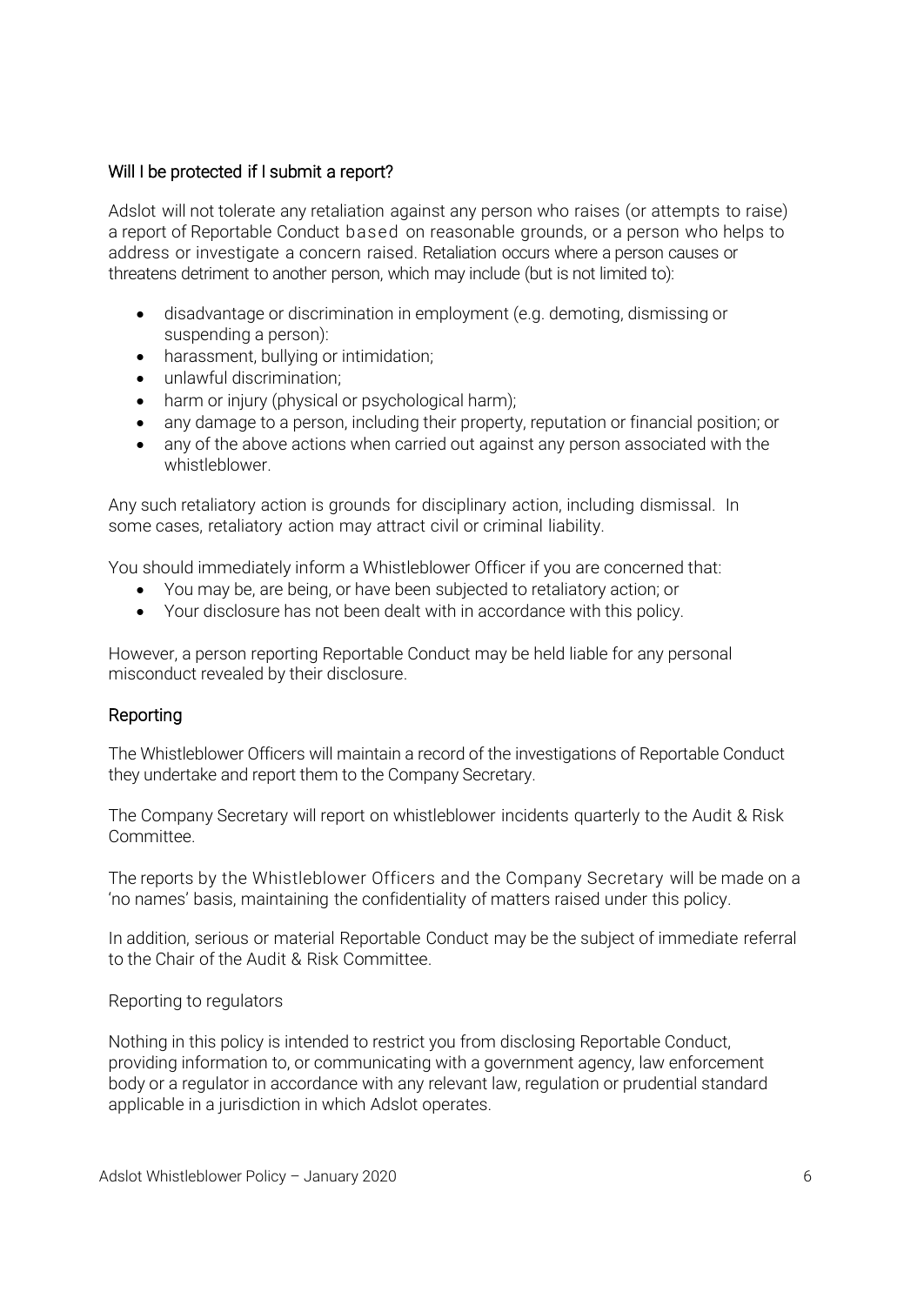## Will I be protected if I submit a report?

Adslot will not tolerate any retaliation against any person who raises (or attempts to raise) a report of Reportable Conduct based on reasonable grounds, or a person who helps to address or investigate a concern raised. Retaliation occurs where a person causes or threatens detriment to another person, which may include (but is not limited to):

- disadvantage or discrimination in employment (e.g. demoting, dismissing or suspending a person):
- harassment, bullying or intimidation;
- unlawful discrimination;
- harm or injury (physical or psychological harm);
- any damage to a person, including their property, reputation or financial position; or
- any of the above actions when carried out against any person associated with the whistleblower.

Any such retaliatory action is grounds for disciplinary action, including dismissal. In some cases, retaliatory action may attract civil or criminal liability.

You should immediately inform a Whistleblower Officer if you are concerned that:

- You may be, are being, or have been subjected to retaliatory action; or
- Your disclosure has not been dealt with in accordance with this policy.

However, a person reporting Reportable Conduct may be held liable for any personal misconduct revealed by their disclosure.

#### Reporting

The Whistleblower Officers will maintain a record of the investigations of Reportable Conduct they undertake and report them to the Company Secretary.

The Company Secretary will report on whistleblower incidents quarterly to the Audit & Risk Committee.

The reports by the Whistleblower Officers and the Company Secretary will be made on a 'no names' basis, maintaining the confidentiality of matters raised under this policy.

In addition, serious or material Reportable Conduct may be the subject of immediate referral to the Chair of the Audit & Risk Committee.

Reporting to regulators

Nothing in this policy is intended to restrict you from disclosing Reportable Conduct, providing information to, or communicating with a government agency, law enforcement body or a regulator in accordance with any relevant law, regulation or prudential standard applicable in a jurisdiction in which Adslot operates.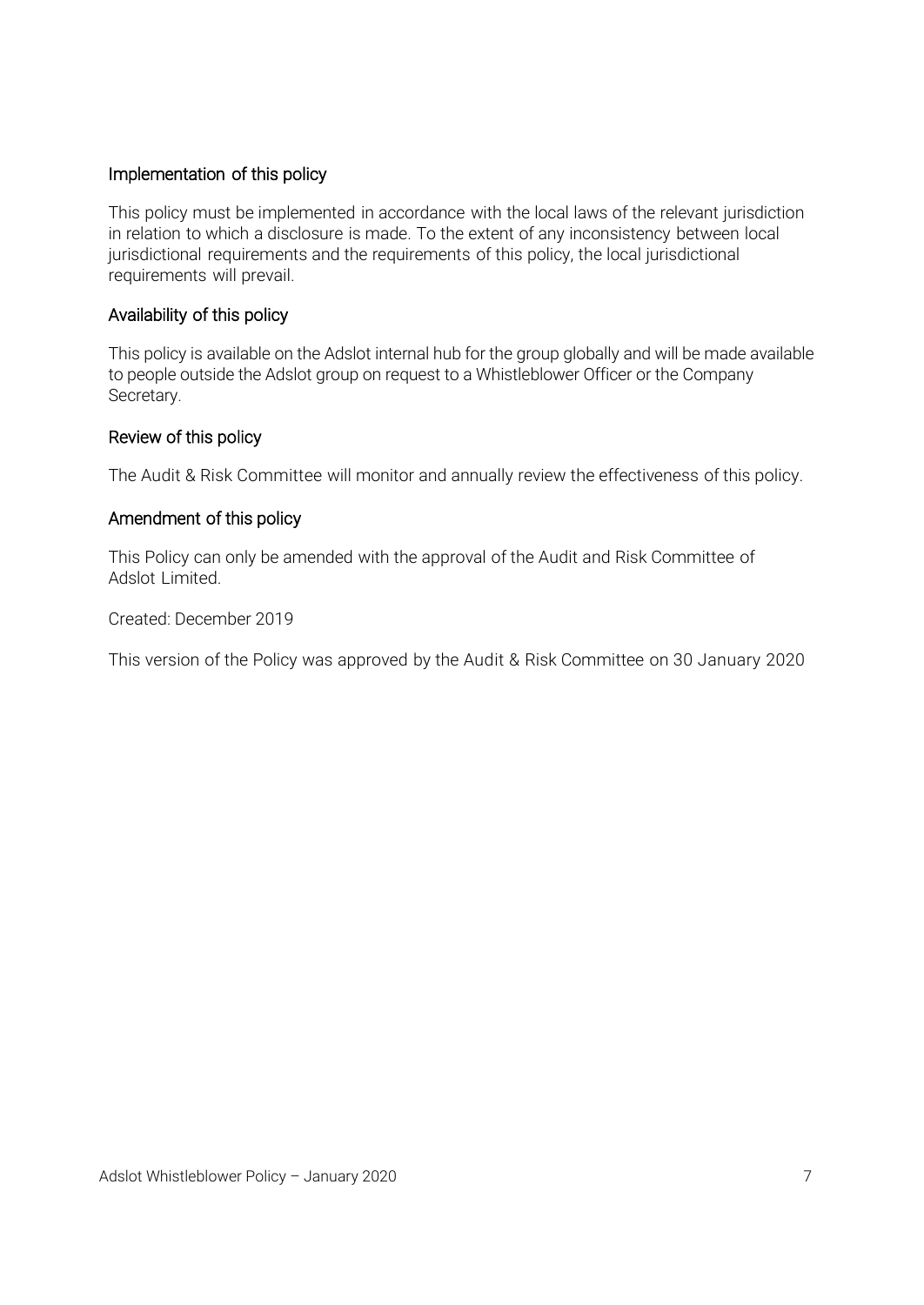## Implementation of this policy

This policy must be implemented in accordance with the local laws of the relevant jurisdiction in relation to which a disclosure is made. To the extent of any inconsistency between local jurisdictional requirements and the requirements of this policy, the local jurisdictional requirements will prevail.

#### Availability of this policy

This policy is available on the Adslot internal hub for the group globally and will be made available to people outside the Adslot group on request to a Whistleblower Officer or the Company Secretary.

#### Review of this policy

The Audit & Risk Committee will monitor and annually review the effectiveness of this policy.

#### Amendment of this policy

This Policy can only be amended with the approval of the Audit and Risk Committee of Adslot Limited.

Created: December 2019

This version of the Policy was approved by the Audit & Risk Committee on 30 January 2020